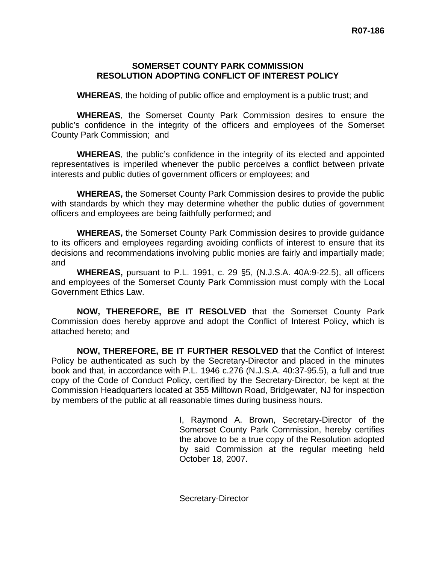### **SOMERSET COUNTY PARK COMMISSION RESOLUTION ADOPTING CONFLICT OF INTEREST POLICY**

**WHEREAS**, the holding of public office and employment is a public trust; and

**WHEREAS**, the Somerset County Park Commission desires to ensure the public's confidence in the integrity of the officers and employees of the Somerset County Park Commission; and

**WHEREAS**, the public's confidence in the integrity of its elected and appointed representatives is imperiled whenever the public perceives a conflict between private interests and public duties of government officers or employees; and

**WHEREAS,** the Somerset County Park Commission desires to provide the public with standards by which they may determine whether the public duties of government officers and employees are being faithfully performed; and

**WHEREAS,** the Somerset County Park Commission desires to provide guidance to its officers and employees regarding avoiding conflicts of interest to ensure that its decisions and recommendations involving public monies are fairly and impartially made; and

**WHEREAS,** pursuant to P.L. 1991, c. 29 §5, (N.J.S.A. 40A:9-22.5), all officers and employees of the Somerset County Park Commission must comply with the Local Government Ethics Law.

**NOW, THEREFORE, BE IT RESOLVED** that the Somerset County Park Commission does hereby approve and adopt the Conflict of Interest Policy, which is attached hereto; and

**NOW, THEREFORE, BE IT FURTHER RESOLVED** that the Conflict of Interest Policy be authenticated as such by the Secretary-Director and placed in the minutes book and that, in accordance with P.L. 1946 c.276 (N.J.S.A. 40:37-95.5), a full and true copy of the Code of Conduct Policy, certified by the Secretary-Director, be kept at the Commission Headquarters located at 355 Milltown Road, Bridgewater, NJ for inspection by members of the public at all reasonable times during business hours.

> I, Raymond A. Brown, Secretary-Director of the Somerset County Park Commission, hereby certifies the above to be a true copy of the Resolution adopted by said Commission at the regular meeting held October 18, 2007.

Secretary-Director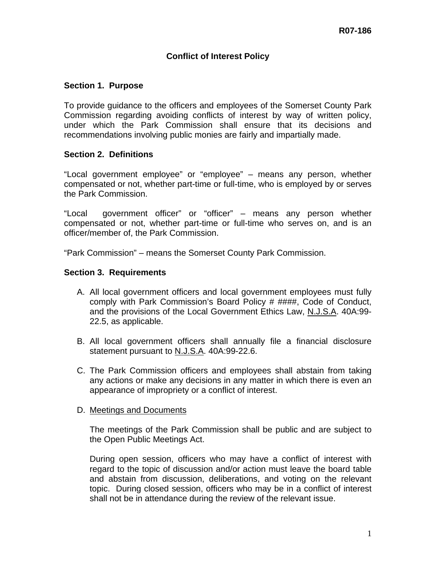# **Conflict of Interest Policy**

### **Section 1. Purpose**

To provide guidance to the officers and employees of the Somerset County Park Commission regarding avoiding conflicts of interest by way of written policy, under which the Park Commission shall ensure that its decisions and recommendations involving public monies are fairly and impartially made.

#### **Section 2. Definitions**

"Local government employee" or "employee" – means any person, whether compensated or not, whether part-time or full-time, who is employed by or serves the Park Commission.

"Local government officer" or "officer" – means any person whether compensated or not, whether part-time or full-time who serves on, and is an officer/member of, the Park Commission.

"Park Commission" – means the Somerset County Park Commission.

#### **Section 3. Requirements**

- A. All local government officers and local government employees must fully comply with Park Commission's Board Policy # ####, Code of Conduct, and the provisions of the Local Government Ethics Law, N.J.S.A. 40A:99- 22.5, as applicable.
- B. All local government officers shall annually file a financial disclosure statement pursuant to N.J.S.A. 40A:99-22.6.
- C. The Park Commission officers and employees shall abstain from taking any actions or make any decisions in any matter in which there is even an appearance of impropriety or a conflict of interest.

#### D. Meetings and Documents

The meetings of the Park Commission shall be public and are subject to the Open Public Meetings Act.

During open session, officers who may have a conflict of interest with regard to the topic of discussion and/or action must leave the board table and abstain from discussion, deliberations, and voting on the relevant topic. During closed session, officers who may be in a conflict of interest shall not be in attendance during the review of the relevant issue.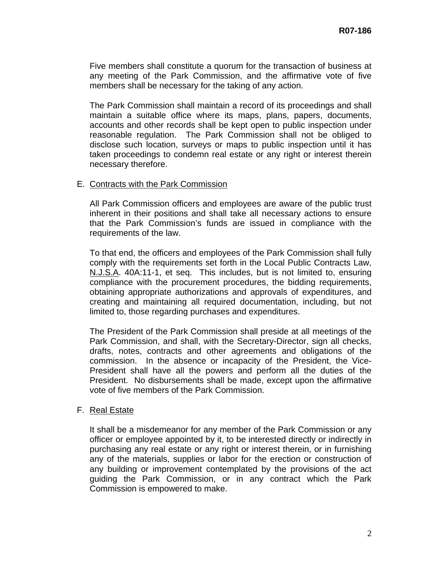Five members shall constitute a quorum for the transaction of business at any meeting of the Park Commission, and the affirmative vote of five members shall be necessary for the taking of any action.

The Park Commission shall maintain a record of its proceedings and shall maintain a suitable office where its maps, plans, papers, documents, accounts and other records shall be kept open to public inspection under reasonable regulation. The Park Commission shall not be obliged to disclose such location, surveys or maps to public inspection until it has taken proceedings to condemn real estate or any right or interest therein necessary therefore.

#### E. Contracts with the Park Commission

All Park Commission officers and employees are aware of the public trust inherent in their positions and shall take all necessary actions to ensure that the Park Commission's funds are issued in compliance with the requirements of the law.

To that end, the officers and employees of the Park Commission shall fully comply with the requirements set forth in the Local Public Contracts Law, N.J.S.A. 40A:11-1, et seq. This includes, but is not limited to, ensuring compliance with the procurement procedures, the bidding requirements, obtaining appropriate authorizations and approvals of expenditures, and creating and maintaining all required documentation, including, but not limited to, those regarding purchases and expenditures.

The President of the Park Commission shall preside at all meetings of the Park Commission, and shall, with the Secretary-Director, sign all checks, drafts, notes, contracts and other agreements and obligations of the commission. In the absence or incapacity of the President, the Vice-President shall have all the powers and perform all the duties of the President. No disbursements shall be made, except upon the affirmative vote of five members of the Park Commission.

#### F. Real Estate

It shall be a misdemeanor for any member of the Park Commission or any officer or employee appointed by it, to be interested directly or indirectly in purchasing any real estate or any right or interest therein, or in furnishing any of the materials, supplies or labor for the erection or construction of any building or improvement contemplated by the provisions of the act guiding the Park Commission, or in any contract which the Park Commission is empowered to make.